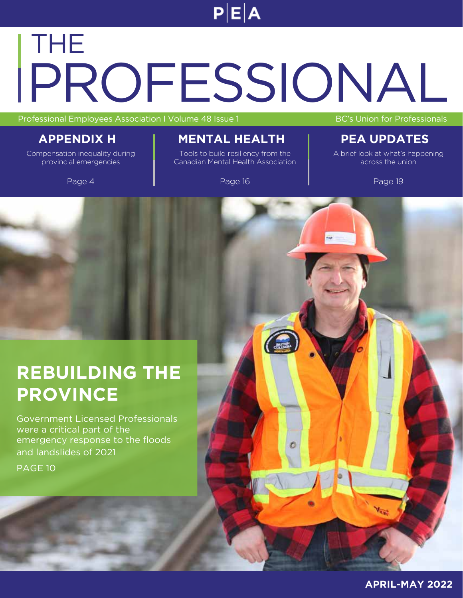## $P|E|A$

# THE PROFESSIONAL

Professional Employees Association I Volume 48 Issue 1

### **APPENDIX H**

Compensation inequality during provincial emergencies

Page 4

#### **MENTAL HEALTH**

Tools to build resiliency from the Canadian Mental Health Association

Page 16

O

BC's Union for Professionals

### **PEA UPDATES**

A brief look at what's happening across the union

Page 19

## **REBUILDING THE PROVINCE**

Government Licensed Professionals were a critical part of the emergency response to the floods and landslides of 2021

PAGE 10

**APRIL-MAY 2022**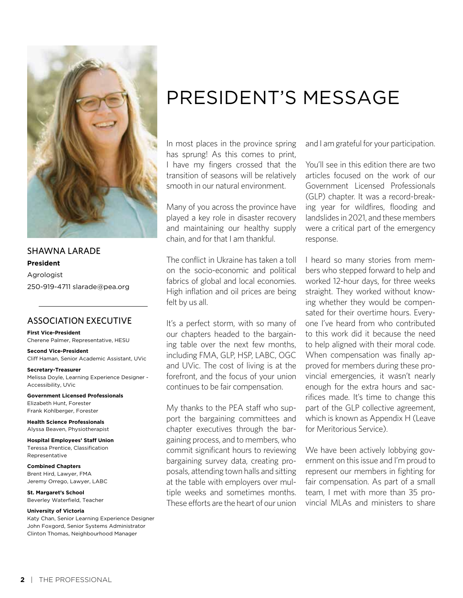

SHAWNA LARADE **President** Agrologist 250-919-4711 slarade@pea.org

#### ASSOCIATION EXECUTIVE

**First Vice-President** Cherene Palmer, Representative, HESU

**Second Vice-President** Cliff Haman, Senior Academic Assistant, UVic

**Secretary-Treasurer**  Melissa Doyle, Learning Experience Designer - Accessibility, UVic

**Government Licensed Professionals** Elizabeth Hunt, Forester Frank Kohlberger, Forester

**Health Science Professionals** Alyssa Beaven, Physiotherapist

**Hospital Employees' Staff Union** Teressa Prentice, Classification Representative

**Combined Chapters** Brent Hird, Lawyer, FMA Jeremy Orrego, Lawyer, LABC

**St. Margaret's School** Beverley Waterfield, Teacher

#### **University of Victoria**

Katy Chan, Senior Learning Experience Designer John Foxgord, Senior Systems Administrator Clinton Thomas, Neighbourhood Manager

## PRESIDENT'S MESSAGE

In most places in the province spring has sprung! As this comes to print, I have my fingers crossed that the transition of seasons will be relatively smooth in our natural environment.

Many of you across the province have played a key role in disaster recovery and maintaining our healthy supply chain, and for that I am thankful.

The conflict in Ukraine has taken a toll on the socio-economic and political fabrics of global and local economies. High inflation and oil prices are being felt by us all.

It's a perfect storm, with so many of our chapters headed to the bargaining table over the next few months, including FMA, GLP, HSP, LABC, OGC and UVic. The cost of living is at the forefront, and the focus of your union continues to be fair compensation.

My thanks to the PEA staff who support the bargaining committees and chapter executives through the bargaining process, and to members, who commit significant hours to reviewing bargaining survey data, creating proposals, attending town halls and sitting at the table with employers over multiple weeks and sometimes months. These efforts are the heart of our union and I am grateful for your participation.

You'll see in this edition there are two articles focused on the work of our Government Licensed Professionals (GLP) chapter. It was a record-breaking year for wildfires, flooding and landslides in 2021, and these members were a critical part of the emergency response.

I heard so many stories from members who stepped forward to help and worked 12-hour days, for three weeks straight. They worked without knowing whether they would be compensated for their overtime hours. Everyone I've heard from who contributed to this work did it because the need to help aligned with their moral code. When compensation was finally approved for members during these provincial emergencies, it wasn't nearly enough for the extra hours and sacrifices made. It's time to change this part of the GLP collective agreement, which is known as Appendix H (Leave for Meritorious Service).

We have been actively lobbying government on this issue and I'm proud to represent our members in fighting for fair compensation. As part of a small team, I met with more than 35 provincial MLAs and ministers to share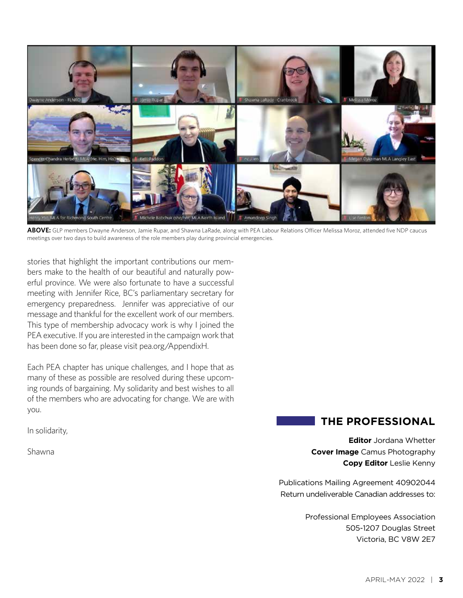

**ABOVE:** GLP members Dwayne Anderson, Jamie Rupar, and Shawna LaRade, along with PEA Labour Relations Officer Melissa Moroz, attended five NDP caucus meetings over two days to build awareness of the role members play during provincial emergencies.

stories that highlight the important contributions our members make to the health of our beautiful and naturally powerful province. We were also fortunate to have a successful meeting with Jennifer Rice, BC's parliamentary secretary for emergency preparedness. Jennifer was appreciative of our message and thankful for the excellent work of our members. This type of membership advocacy work is why I joined the PEA executive. If you are interested in the campaign work that has been done so far, please visit pea.org/AppendixH.

Each PEA chapter has unique challenges, and I hope that as many of these as possible are resolved during these upcoming rounds of bargaining. My solidarity and best wishes to all of the members who are advocating for change. We are with you.

In solidarity,

Shawna

#### **THE PROFESSIONAL**

**Editor** Jordana Whetter **Cover Image** Camus Photography **Copy Editor** Leslie Kenny

Publications Mailing Agreement 40902044 Return undeliverable Canadian addresses to:

> Professional Employees Association 505-1207 Douglas Street Victoria, BC V8W 2E7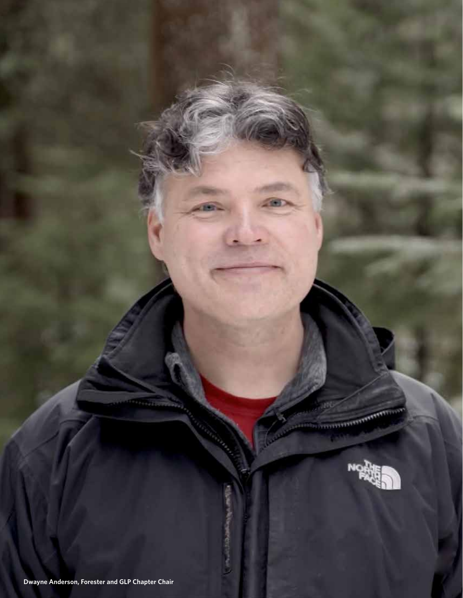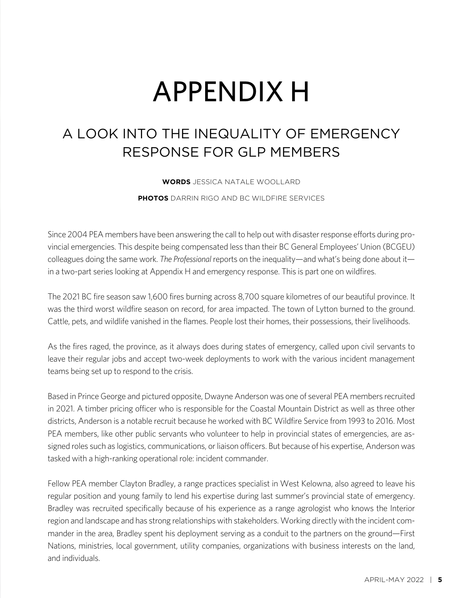## APPENDIX H

## A LOOK INTO THE INEQUALITY OF EMERGENCY RESPONSE FOR GLP MEMBERS

**WORDS** JESSICA NATALE WOOLLARD

**PHOTOS** DARRIN RIGO AND BC WILDFIRE SERVICES

Since 2004 PEA members have been answering the call to help out with disaster response efforts during provincial emergencies. This despite being compensated less than their BC General Employees' Union (BCGEU) colleagues doing the same work. *The Professional* reports on the inequality—and what's being done about it in a two-part series looking at Appendix H and emergency response. This is part one on wildfires.

The 2021 BC fire season saw 1,600 fires burning across 8,700 square kilometres of our beautiful province. It was the third worst wildfire season on record, for area impacted. The town of Lytton burned to the ground. Cattle, pets, and wildlife vanished in the flames. People lost their homes, their possessions, their livelihoods.

As the fires raged, the province, as it always does during states of emergency, called upon civil servants to leave their regular jobs and accept two-week deployments to work with the various incident management teams being set up to respond to the crisis.

Based in Prince George and pictured opposite, Dwayne Anderson was one of several PEA members recruited in 2021. A timber pricing officer who is responsible for the Coastal Mountain District as well as three other districts, Anderson is a notable recruit because he worked with BC Wildfire Service from 1993 to 2016. Most PEA members, like other public servants who volunteer to help in provincial states of emergencies, are assigned roles such as logistics, communications, or liaison officers. But because of his expertise, Anderson was tasked with a high-ranking operational role: incident commander.

Fellow PEA member Clayton Bradley, a range practices specialist in West Kelowna, also agreed to leave his regular position and young family to lend his expertise during last summer's provincial state of emergency. Bradley was recruited specifically because of his experience as a range agrologist who knows the Interior region and landscape and has strong relationships with stakeholders. Working directly with the incident commander in the area, Bradley spent his deployment serving as a conduit to the partners on the ground—First Nations, ministries, local government, utility companies, organizations with business interests on the land, and individuals.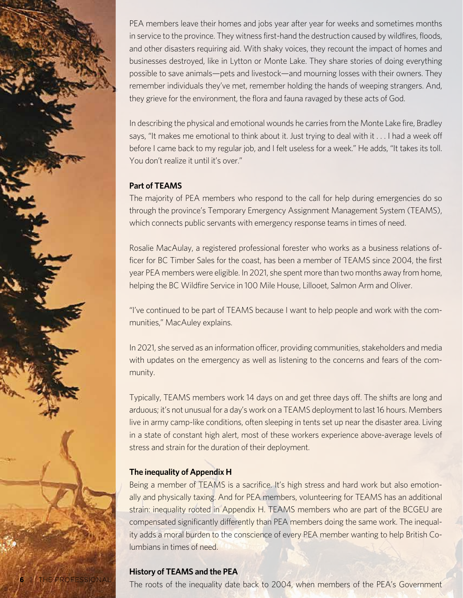PEA members leave their homes and jobs year after year for weeks and sometimes months in service to the province. They witness first-hand the destruction caused by wildfires, floods, and other disasters requiring aid. With shaky voices, they recount the impact of homes and businesses destroyed, like in Lytton or Monte Lake. They share stories of doing everything possible to save animals—pets and livestock—and mourning losses with their owners. They remember individuals they've met, remember holding the hands of weeping strangers. And, they grieve for the environment, the flora and fauna ravaged by these acts of God.

In describing the physical and emotional wounds he carries from the Monte Lake fire, Bradley says, "It makes me emotional to think about it. Just trying to deal with it . . . I had a week off before I came back to my regular job, and I felt useless for a week." He adds, "It takes its toll. You don't realize it until it's over."

#### **Part of TEAMS**

The majority of PEA members who respond to the call for help during emergencies do so through the province's Temporary Emergency Assignment Management System (TEAMS), which connects public servants with emergency response teams in times of need.

Rosalie MacAulay, a registered professional forester who works as a business relations officer for BC Timber Sales for the coast, has been a member of TEAMS since 2004, the first year PEA members were eligible. In 2021, she spent more than two months away from home, helping the BC Wildfire Service in 100 Mile House, Lillooet, Salmon Arm and Oliver.

"I've continued to be part of TEAMS because I want to help people and work with the communities," MacAuley explains.

In 2021, she served as an information officer, providing communities, stakeholders and media with updates on the emergency as well as listening to the concerns and fears of the community.

Typically, TEAMS members work 14 days on and get three days off. The shifts are long and arduous; it's not unusual for a day's work on a TEAMS deployment to last 16 hours. Members live in army camp-like conditions, often sleeping in tents set up near the disaster area. Living in a state of constant high alert, most of these workers experience above-average levels of stress and strain for the duration of their deployment.

#### **The inequality of Appendix H**

Being a member of TEAMS is a sacrifice. It's high stress and hard work but also emotionally and physically taxing. And for PEA members, volunteering for TEAMS has an additional strain: inequality rooted in Appendix H. TEAMS members who are part of the BCGEU are compensated significantly differently than PEA members doing the same work. The inequality adds a moral burden to the conscience of every PEA member wanting to help British Columbians in times of need.

#### **History of TEAMS and the PEA**

**6** | THE PROFESSIONAL

The roots of the inequality date back to 2004, when members of the PEA's Government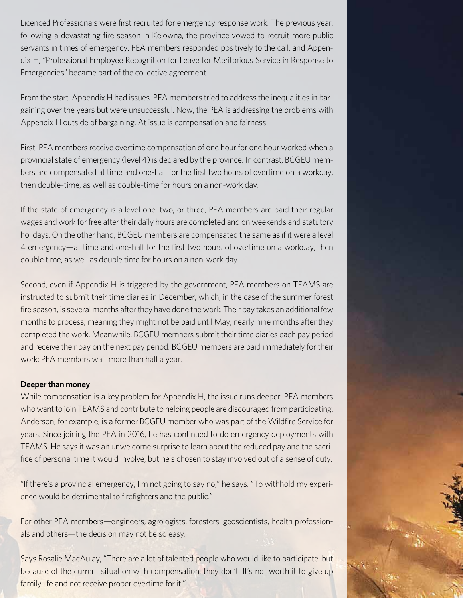Licenced Professionals were first recruited for emergency response work. The previous year, following a devastating fire season in Kelowna, the province vowed to recruit more public servants in times of emergency. PEA members responded positively to the call, and Appendix H, "Professional Employee Recognition for Leave for Meritorious Service in Response to Emergencies" became part of the collective agreement.

From the start, Appendix H had issues. PEA members tried to address the inequalities in bargaining over the years but were unsuccessful. Now, the PEA is addressing the problems with Appendix H outside of bargaining. At issue is compensation and fairness.

First, PEA members receive overtime compensation of one hour for one hour worked when a provincial state of emergency (level 4) is declared by the province. In contrast, BCGEU members are compensated at time and one-half for the first two hours of overtime on a workday, then double-time, as well as double-time for hours on a non-work day.

If the state of emergency is a level one, two, or three, PEA members are paid their regular wages and work for free after their daily hours are completed and on weekends and statutory holidays. On the other hand, BCGEU members are compensated the same as if it were a level 4 emergency—at time and one-half for the first two hours of overtime on a workday, then double time, as well as double time for hours on a non-work day.

Second, even if Appendix H is triggered by the government, PEA members on TEAMS are instructed to submit their time diaries in December, which, in the case of the summer forest fire season, is several months after they have done the work. Their pay takes an additional few months to process, meaning they might not be paid until May, nearly nine months after they completed the work. Meanwhile, BCGEU members submit their time diaries each pay period and receive their pay on the next pay period. BCGEU members are paid immediately for their work; PEA members wait more than half a year.

#### **Deeper than money**

While compensation is a key problem for Appendix H, the issue runs deeper. PEA members who want to join TEAMS and contribute to helping people are discouraged from participating. Anderson, for example, is a former BCGEU member who was part of the Wildfire Service for years. Since joining the PEA in 2016, he has continued to do emergency deployments with TEAMS. He says it was an unwelcome surprise to learn about the reduced pay and the sacrifice of personal time it would involve, but he's chosen to stay involved out of a sense of duty.

"If there's a provincial emergency, I'm not going to say no," he says. "To withhold my experience would be detrimental to firefighters and the public."

For other PEA members—engineers, agrologists, foresters, geoscientists, health professionals and others—the decision may not be so easy.

 $f$ <sub>p</sub>  $\frac{1}{2}$   $\frac{1}{2}$   $\frac{1}{2}$   $\frac{1}{2}$   $\frac{1}{2}$   $\frac{1}{2}$   $\frac{1}{2}$   $\frac{1}{2}$   $\frac{1}{2}$   $\frac{1}{2}$   $\frac{1}{2}$   $\frac{1}{2}$   $\frac{1}{2}$   $\frac{1}{2}$   $\frac{1}{2}$   $\frac{1}{2}$   $\frac{1}{2}$   $\frac{1}{2}$   $\frac{1}{2}$   $\frac{1}{2}$   $\frac{1}{2}$   $\frac{$ Says Rosalie MacAulay, "There are a lot of talented people who would like to participate, but because of the current situation with compensation, they don't. It's not worth it to give up family life and not receive proper overtime for it."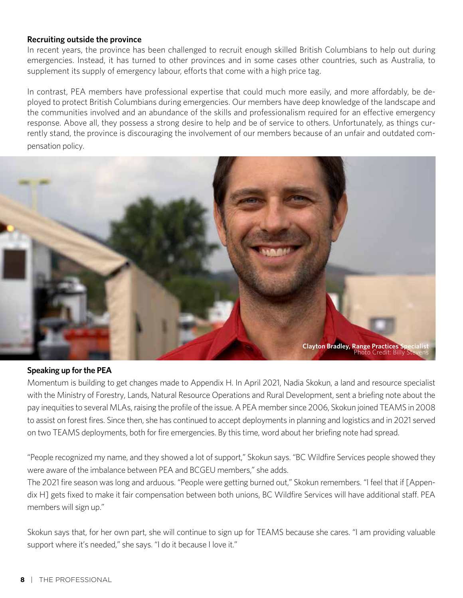#### **Recruiting outside the province**

In recent years, the province has been challenged to recruit enough skilled British Columbians to help out during emergencies. Instead, it has turned to other provinces and in some cases other countries, such as Australia, to supplement its supply of emergency labour, efforts that come with a high price tag.

In contrast, PEA members have professional expertise that could much more easily, and more affordably, be deployed to protect British Columbians during emergencies. Our members have deep knowledge of the landscape and the communities involved and an abundance of the skills and professionalism required for an effective emergency response. Above all, they possess a strong desire to help and be of service to others. Unfortunately, as things currently stand, the province is discouraging the involvement of our members because of an unfair and outdated compensation policy.



#### **Speaking up for the PEA**

Momentum is building to get changes made to Appendix H. In April 2021, Nadia Skokun, a land and resource specialist with the Ministry of Forestry, Lands, Natural Resource Operations and Rural Development, sent a briefing note about the pay inequities to several MLAs, raising the profile of the issue. A PEA member since 2006, Skokun joined TEAMS in 2008 to assist on forest fires. Since then, she has continued to accept deployments in planning and logistics and in 2021 served on two TEAMS deployments, both for fire emergencies. By this time, word about her briefing note had spread.

"People recognized my name, and they showed a lot of support," Skokun says. "BC Wildfire Services people showed they were aware of the imbalance between PEA and BCGEU members," she adds.

The 2021 fire season was long and arduous. "People were getting burned out," Skokun remembers. "I feel that if [Appendix H] gets fixed to make it fair compensation between both unions, BC Wildfire Services will have additional staff. PEA members will sign up."

Skokun says that, for her own part, she will continue to sign up for TEAMS because she cares. "I am providing valuable support where it's needed," she says. "I do it because I love it."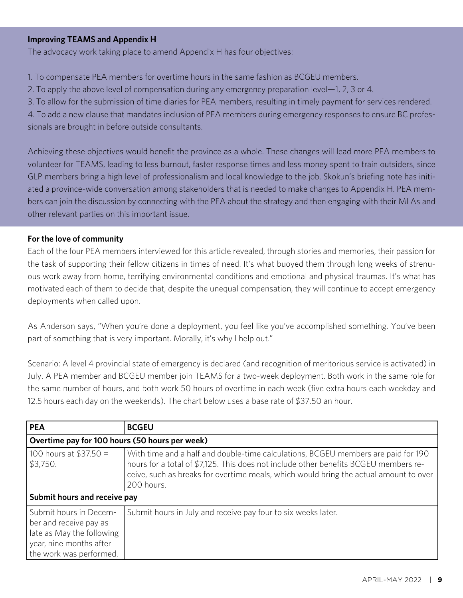#### **Improving TEAMS and Appendix H**

The advocacy work taking place to amend Appendix H has four objectives:

- 1. To compensate PEA members for overtime hours in the same fashion as BCGEU members.
- 2. To apply the above level of compensation during any emergency preparation level—1, 2, 3 or 4.
- 3. To allow for the submission of time diaries for PEA members, resulting in timely payment for services rendered.

4. To add a new clause that mandates inclusion of PEA members during emergency responses to ensure BC professionals are brought in before outside consultants.

Achieving these objectives would benefit the province as a whole. These changes will lead more PEA members to volunteer for TEAMS, leading to less burnout, faster response times and less money spent to train outsiders, since GLP members bring a high level of professionalism and local knowledge to the job. Skokun's briefing note has initiated a province-wide conversation among stakeholders that is needed to make changes to Appendix H. PEA members can join the discussion by connecting with the PEA about the strategy and then engaging with their MLAs and other relevant parties on this important issue.

#### **For the love of community**

Each of the four PEA members interviewed for this article revealed, through stories and memories, their passion for the task of supporting their fellow citizens in times of need. It's what buoyed them through long weeks of strenuous work away from home, terrifying environmental conditions and emotional and physical traumas. It's what has motivated each of them to decide that, despite the unequal compensation, they will continue to accept emergency deployments when called upon.

As Anderson says, "When you're done a deployment, you feel like you've accomplished something. You've been part of something that is very important. Morally, it's why I help out."

Scenario: A level 4 provincial state of emergency is declared (and recognition of meritorious service is activated) in July. A PEA member and BCGEU member join TEAMS for a two-week deployment. Both work in the same role for the same number of hours, and both work 50 hours of overtime in each week (five extra hours each weekday and 12.5 hours each day on the weekends). The chart below uses a base rate of \$37.50 an hour.

| <b>PEA</b>                                                                                                                          | <b>BCGEU</b>                                                                                                                                                                                                                                                                     |
|-------------------------------------------------------------------------------------------------------------------------------------|----------------------------------------------------------------------------------------------------------------------------------------------------------------------------------------------------------------------------------------------------------------------------------|
| Overtime pay for 100 hours (50 hours per week)                                                                                      |                                                                                                                                                                                                                                                                                  |
| 100 hours at $$37.50 =$<br>\$3,750.                                                                                                 | With time and a half and double-time calculations, BCGEU members are paid for 190<br>hours for a total of \$7,125. This does not include other benefits BCGEU members re-<br>ceive, such as breaks for overtime meals, which would bring the actual amount to over<br>200 hours. |
| Submit hours and receive pay                                                                                                        |                                                                                                                                                                                                                                                                                  |
| Submit hours in Decem-<br>ber and receive pay as<br>late as May the following<br>year, nine months after<br>the work was performed. | Submit hours in July and receive pay four to six weeks later.                                                                                                                                                                                                                    |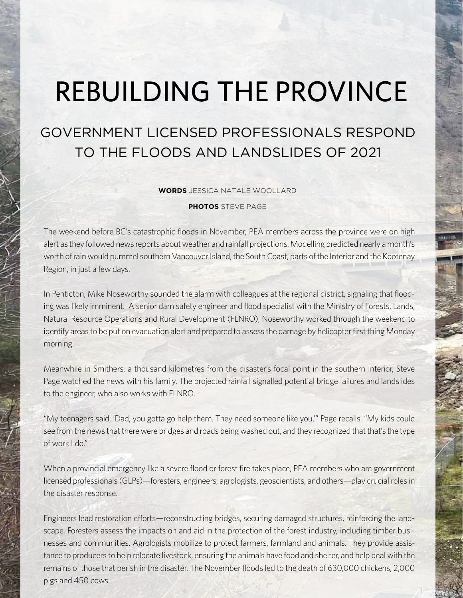## REBUILDING THE PROVINCE

## GOVERNMENT LICENSED PROFESSIONALS RESPOND TO THE FLOODS AND LANDSLIDES OF 2021

#### **WORDS** JESSICA NATALE WOOLLARD

#### **PHOTOS** STEVE PAGE

The weekend before BC's catastrophic floods in November, PEA members across the province were on high alert as they followed news reports about weather and rainfall projections. Modelling predicted nearly a month's worth of rain would pummel southern Vancouver Island, the South Coast, parts of the Interior and the Kootenay Region, in just a few days.

In Penticton, Mike Noseworthy sounded the alarm with colleagues at the regional district, signaling that flooding was likely imminent. A senior dam safety engineer and flood specialist with the Ministry of Forests, Lands, Natural Resource Operations and Rural Development (FLNRO), Noseworthy worked through the weekend to identify areas to be put on evacuation alert and prepared to assess the damage by helicopter first thing Monday morning.

Meanwhile in Smithers, a thousand kilometres from the disaster's focal point in the southern Interior, Steve Page watched the news with his family. The projected rainfall signalled potential bridge failures and landslides to the engineer, who also works with FLNRO.

"My teenagers said, 'Dad, you gotta go help them. They need someone like you,'" Page recalls. "My kids could see from the news that there were bridges and roads being washed out, and they recognized that that's the type of work I do."

When a provincial emergency like a severe flood or forest fire takes place, PEA members who are government licensed professionals (GLPs)—foresters, engineers, agrologists, geoscientists, and others—play crucial roles in the disaster response.

Engineers lead restoration efforts—reconstructing bridges, securing damaged structures, reinforcing the landscape. Foresters assess the impacts on and aid in the protection of the forest industry, including timber businesses and communities. Agrologists mobilize to protect farmers, farmland and animals. They provide assistance to producers to help relocate livestock, ensuring the animals have food and shelter, and help deal with the remains of those that perish in the disaster. The November floods led to the death of 630,000 chickens, 2,000 pigs and 450 cows.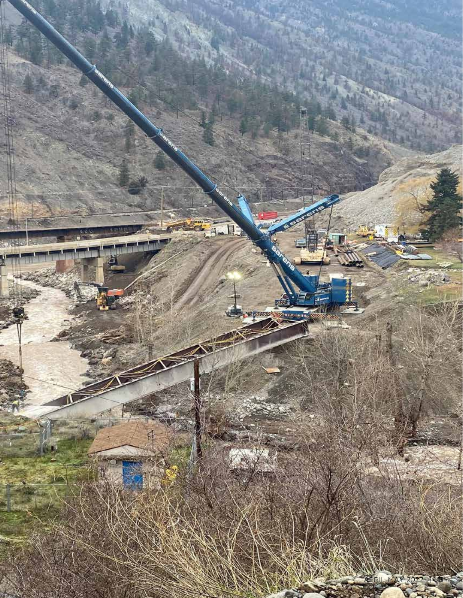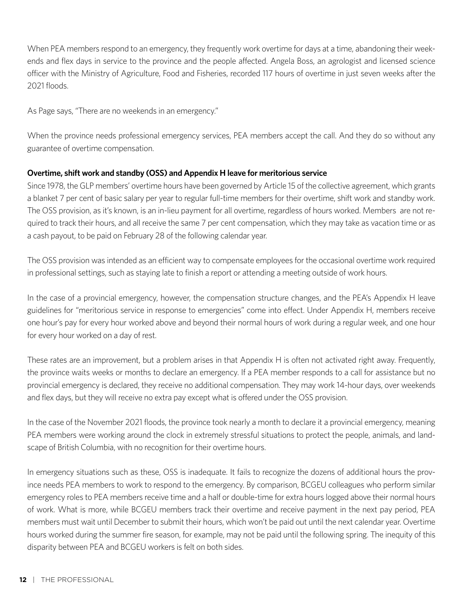When PEA members respond to an emergency, they frequently work overtime for days at a time, abandoning their weekends and flex days in service to the province and the people affected. Angela Boss, an agrologist and licensed science officer with the Ministry of Agriculture, Food and Fisheries, recorded 117 hours of overtime in just seven weeks after the 2021 floods.

As Page says, "There are no weekends in an emergency."

When the province needs professional emergency services, PEA members accept the call. And they do so without any guarantee of overtime compensation.

#### **Overtime, shift work and standby (OSS) and Appendix H leave for meritorious service**

Since 1978, the GLP members' overtime hours have been governed by Article 15 of the collective agreement, which grants a blanket 7 per cent of basic salary per year to regular full-time members for their overtime, shift work and standby work. The OSS provision, as it's known, is an in-lieu payment for all overtime, regardless of hours worked. Members are not required to track their hours, and all receive the same 7 per cent compensation, which they may take as vacation time or as a cash payout, to be paid on February 28 of the following calendar year.

The OSS provision was intended as an efficient way to compensate employees for the occasional overtime work required in professional settings, such as staying late to finish a report or attending a meeting outside of work hours.

In the case of a provincial emergency, however, the compensation structure changes, and the PEA's Appendix H leave guidelines for "meritorious service in response to emergencies" come into effect. Under Appendix H, members receive one hour's pay for every hour worked above and beyond their normal hours of work during a regular week, and one hour for every hour worked on a day of rest.

These rates are an improvement, but a problem arises in that Appendix H is often not activated right away. Frequently, the province waits weeks or months to declare an emergency. If a PEA member responds to a call for assistance but no provincial emergency is declared, they receive no additional compensation. They may work 14-hour days, over weekends and flex days, but they will receive no extra pay except what is offered under the OSS provision.

In the case of the November 2021 floods, the province took nearly a month to declare it a provincial emergency, meaning PEA members were working around the clock in extremely stressful situations to protect the people, animals, and landscape of British Columbia, with no recognition for their overtime hours.

In emergency situations such as these, OSS is inadequate. It fails to recognize the dozens of additional hours the province needs PEA members to work to respond to the emergency. By comparison, BCGEU colleagues who perform similar emergency roles to PEA members receive time and a half or double-time for extra hours logged above their normal hours of work. What is more, while BCGEU members track their overtime and receive payment in the next pay period, PEA members must wait until December to submit their hours, which won't be paid out until the next calendar year. Overtime hours worked during the summer fire season, for example, may not be paid until the following spring. The inequity of this disparity between PEA and BCGEU workers is felt on both sides.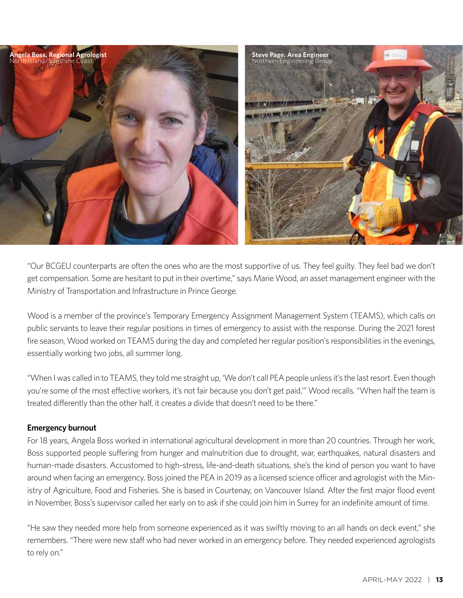

"Our BCGEU counterparts are often the ones who are the most supportive of us. They feel guilty. They feel bad we don't get compensation. Some are hesitant to put in their overtime," says Marie Wood, an asset management engineer with the Ministry of Transportation and Infrastructure in Prince George.

Wood is a member of the province's Temporary Emergency Assignment Management System (TEAMS), which calls on public servants to leave their regular positions in times of emergency to assist with the response. During the 2021 forest fire season, Wood worked on TEAMS during the day and completed her regular position's responsibilities in the evenings, essentially working two jobs, all summer long.

"When I was called in to TEAMS, they told me straight up, 'We don't call PEA people unless it's the last resort. Even though you're some of the most effective workers, it's not fair because you don't get paid,'" Wood recalls. "When half the team is treated differently than the other half, it creates a divide that doesn't need to be there."

#### **Emergency burnout**

For 18 years, Angela Boss worked in international agricultural development in more than 20 countries. Through her work, Boss supported people suffering from hunger and malnutrition due to drought, war, earthquakes, natural disasters and human-made disasters. Accustomed to high-stress, life-and-death situations, she's the kind of person you want to have around when facing an emergency. Boss joined the PEA in 2019 as a licensed science officer and agrologist with the Ministry of Agriculture, Food and Fisheries. She is based in Courtenay, on Vancouver Island. After the first major flood event in November, Boss's supervisor called her early on to ask if she could join him in Surrey for an indefinite amount of time.

"He saw they needed more help from someone experienced as it was swiftly moving to an all hands on deck event," she remembers. "There were new staff who had never worked in an emergency before. They needed experienced agrologists to rely on."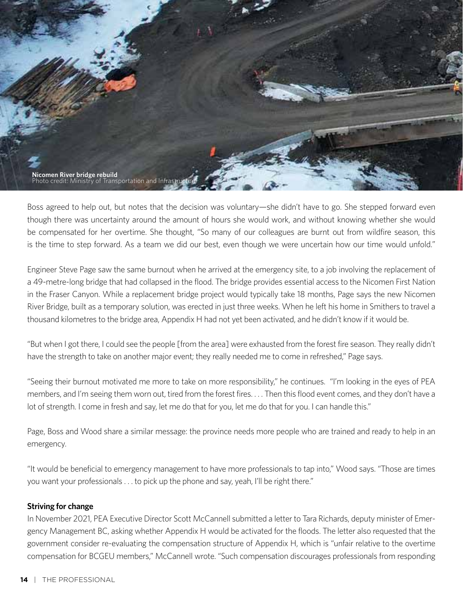

Boss agreed to help out, but notes that the decision was voluntary—she didn't have to go. She stepped forward even though there was uncertainty around the amount of hours she would work, and without knowing whether she would be compensated for her overtime. She thought, "So many of our colleagues are burnt out from wildfire season, this is the time to step forward. As a team we did our best, even though we were uncertain how our time would unfold."

Engineer Steve Page saw the same burnout when he arrived at the emergency site, to a job involving the replacement of a 49-metre-long bridge that had collapsed in the flood. The bridge provides essential access to the Nicomen First Nation in the Fraser Canyon. While a replacement bridge project would typically take 18 months, Page says the new Nicomen River Bridge, built as a temporary solution, was erected in just three weeks. When he left his home in Smithers to travel a thousand kilometres to the bridge area, Appendix H had not yet been activated, and he didn't know if it would be.

"But when I got there, I could see the people [from the area] were exhausted from the forest fire season. They really didn't have the strength to take on another major event; they really needed me to come in refreshed," Page says.

"Seeing their burnout motivated me more to take on more responsibility," he continues. "I'm looking in the eyes of PEA members, and I'm seeing them worn out, tired from the forest fires. . . . Then this flood event comes, and they don't have a lot of strength. I come in fresh and say, let me do that for you, let me do that for you. I can handle this."

Page, Boss and Wood share a similar message: the province needs more people who are trained and ready to help in an emergency.

"It would be beneficial to emergency management to have more professionals to tap into," Wood says. "Those are times you want your professionals . . . to pick up the phone and say, yeah, I'll be right there."

#### **Striving for change**

In November 2021, PEA Executive Director Scott McCannell submitted a letter to Tara Richards, deputy minister of Emergency Management BC, asking whether Appendix H would be activated for the floods. The letter also requested that the government consider re-evaluating the compensation structure of Appendix H, which is "unfair relative to the overtime compensation for BCGEU members," McCannell wrote. "Such compensation discourages professionals from responding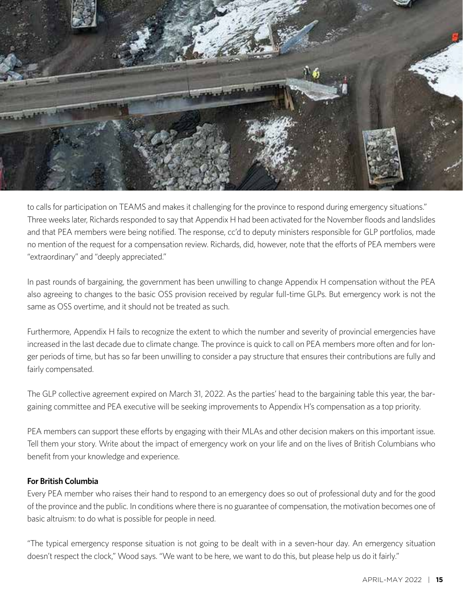

to calls for participation on TEAMS and makes it challenging for the province to respond during emergency situations." Three weeks later, Richards responded to say that Appendix H had been activated for the November floods and landslides and that PEA members were being notified. The response, cc'd to deputy ministers responsible for GLP portfolios, made no mention of the request for a compensation review. Richards, did, however, note that the efforts of PEA members were "extraordinary" and "deeply appreciated."

In past rounds of bargaining, the government has been unwilling to change Appendix H compensation without the PEA also agreeing to changes to the basic OSS provision received by regular full-time GLPs. But emergency work is not the same as OSS overtime, and it should not be treated as such.

Furthermore, Appendix H fails to recognize the extent to which the number and severity of provincial emergencies have increased in the last decade due to climate change. The province is quick to call on PEA members more often and for longer periods of time, but has so far been unwilling to consider a pay structure that ensures their contributions are fully and fairly compensated.

The GLP collective agreement expired on March 31, 2022. As the parties' head to the bargaining table this year, the bargaining committee and PEA executive will be seeking improvements to Appendix H's compensation as a top priority.

PEA members can support these efforts by engaging with their MLAs and other decision makers on this important issue. Tell them your story. Write about the impact of emergency work on your life and on the lives of British Columbians who benefit from your knowledge and experience.

#### **For British Columbia**

Every PEA member who raises their hand to respond to an emergency does so out of professional duty and for the good of the province and the public. In conditions where there is no guarantee of compensation, the motivation becomes one of basic altruism: to do what is possible for people in need.

"The typical emergency response situation is not going to be dealt with in a seven-hour day. An emergency situation doesn't respect the clock," Wood says. "We want to be here, we want to do this, but please help us do it fairly."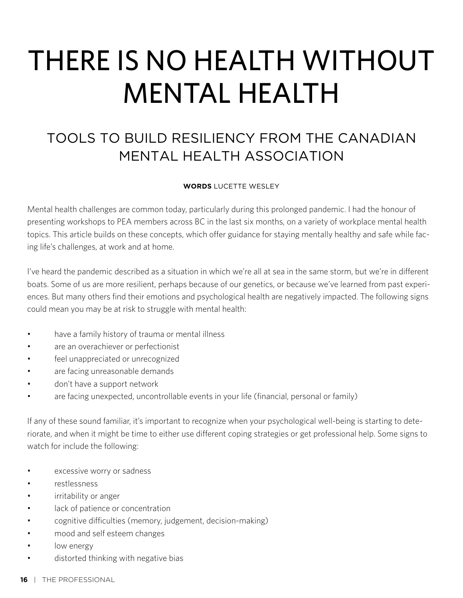## THERE IS NO HEALTH WITHOUT MENTAL HEALTH

## TOOLS TO BUILD RESILIENCY FROM THE CANADIAN MENTAL HEALTH ASSOCIATION

#### **WORDS** LUCETTE WESLEY

Mental health challenges are common today, particularly during this prolonged pandemic. I had the honour of presenting workshops to PEA members across BC in the last six months, on a variety of workplace mental health topics. This article builds on these concepts, which offer guidance for staying mentally healthy and safe while facing life's challenges, at work and at home.

I've heard the pandemic described as a situation in which we're all at sea in the same storm, but we're in different boats. Some of us are more resilient, perhaps because of our genetics, or because we've learned from past experiences. But many others find their emotions and psychological health are negatively impacted. The following signs could mean you may be at risk to struggle with mental health:

- have a family history of trauma or mental illness
- are an overachiever or perfectionist
- feel unappreciated or unrecognized
- are facing unreasonable demands
- don't have a support network
- are facing unexpected, uncontrollable events in your life (financial, personal or family)

If any of these sound familiar, it's important to recognize when your psychological well-being is starting to deteriorate, and when it might be time to either use different coping strategies or get professional help. Some signs to watch for include the following:

- excessive worry or sadness
- restlessness
- irritability or anger
- lack of patience or concentration
- cognitive difficulties (memory, judgement, decision-making)
- mood and self esteem changes
- low energy
- distorted thinking with negative bias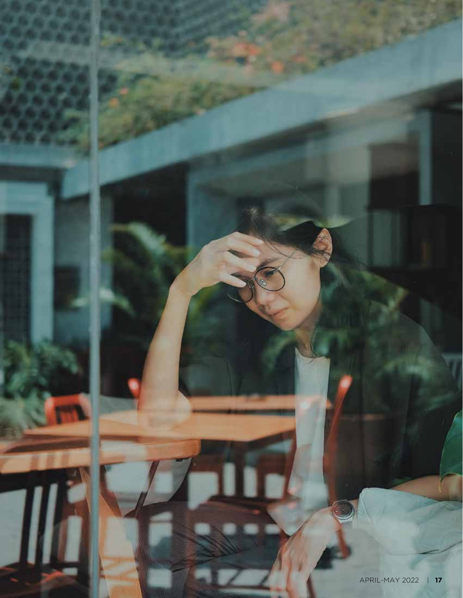

a m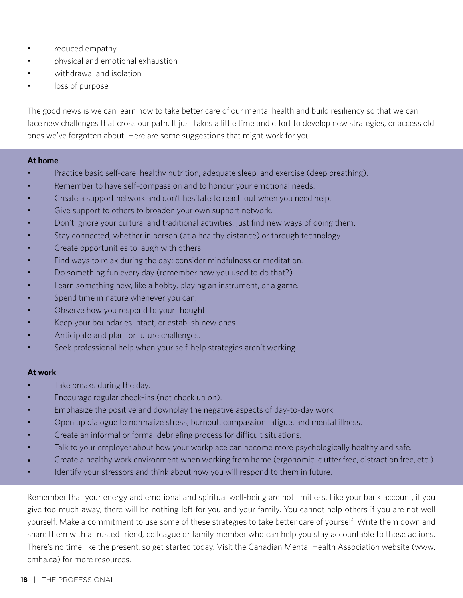- reduced empathy
- physical and emotional exhaustion
- withdrawal and isolation
- loss of purpose

The good news is we can learn how to take better care of our mental health and build resiliency so that we can face new challenges that cross our path. It just takes a little time and effort to develop new strategies, or access old ones we've forgotten about. Here are some suggestions that might work for you:

#### **At home**

- Practice basic self-care: healthy nutrition, adequate sleep, and exercise (deep breathing).
- Remember to have self-compassion and to honour your emotional needs.
- Create a support network and don't hesitate to reach out when you need help.
- Give support to others to broaden your own support network.
- Don't ignore your cultural and traditional activities, just find new ways of doing them.
- Stay connected, whether in person (at a healthy distance) or through technology.
- Create opportunities to laugh with others.
- Find ways to relax during the day; consider mindfulness or meditation.
- Do something fun every day (remember how you used to do that?).
- Learn something new, like a hobby, playing an instrument, or a game.
- Spend time in nature whenever you can.
- Observe how you respond to your thought.
- Keep your boundaries intact, or establish new ones.
- Anticipate and plan for future challenges.
- Seek professional help when your self-help strategies aren't working.

#### **At work**

- Take breaks during the day.
- Encourage regular check-ins (not check up on).
- Emphasize the positive and downplay the negative aspects of day-to-day work.
- Open up dialogue to normalize stress, burnout, compassion fatigue, and mental illness.
- Create an informal or formal debriefing process for difficult situations.
- Talk to your employer about how your workplace can become more psychologically healthy and safe.
- Create a healthy work environment when working from home (ergonomic, clutter free, distraction free, etc.).
- Identify your stressors and think about how you will respond to them in future.

Remember that your energy and emotional and spiritual well-being are not limitless. Like your bank account, if you give too much away, there will be nothing left for you and your family. You cannot help others if you are not well yourself. Make a commitment to use some of these strategies to take better care of yourself. Write them down and share them with a trusted friend, colleague or family member who can help you stay accountable to those actions. There's no time like the present, so get started today. Visit the Canadian Mental Health Association website (www. cmha.ca) for more resources.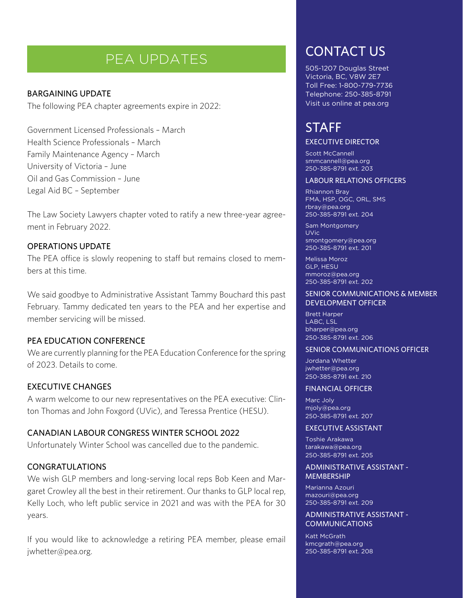## PEA UPDATES

#### BARGAINING UPDATE

The following PEA chapter agreements expire in 2022:

Government Licensed Professionals – March Health Science Professionals – March Family Maintenance Agency – March University of Victoria – June Oil and Gas Commission – June Legal Aid BC – September

The Law Society Lawyers chapter voted to ratify a new three-year agreement in February 2022.

#### OPERATIONS UPDATE

The PEA office is slowly reopening to staff but remains closed to members at this time.

We said goodbye to Administrative Assistant Tammy Bouchard this past February. Tammy dedicated ten years to the PEA and her expertise and member servicing will be missed.

#### PEA EDUCATION CONFERENCE

We are currently planning for the PEA Education Conference for the spring of 2023. Details to come.

#### EXECUTIVE CHANGES

A warm welcome to our new representatives on the PEA executive: Clinton Thomas and John Foxgord (UVic), and Teressa Prentice (HESU).

#### CANADIAN LABOUR CONGRESS WINTER SCHOOL 2022

Unfortunately Winter School was cancelled due to the pandemic.

#### CONGRATULATIONS

We wish GLP members and long-serving local reps Bob Keen and Margaret Crowley all the best in their retirement. Our thanks to GLP local rep, Kelly Loch, who left public service in 2021 and was with the PEA for 30 years.

If you would like to acknowledge a retiring PEA member, please email jwhetter@pea.org.

### CONTACT US

505-1207 Douglas Street Victoria, BC, V8W 2E7 Toll Free: 1-800-779-7736 Telephone: 250-385-8791 Visit us online at pea.org

## STAFF

#### EXECUTIVE DIRECTOR

Scott McCannell smmcannell@pea.org 250-385-8791 ext. 203

#### LABOUR RELATIONS OFFICERS

Rhiannon Bray FMA, HSP, OGC, ORL, SMS rbray@pea.org 250-385-8791 ext. 204

Sam Montgomery UVic

smontgomery@pea.org 250-385-8791 ext. 201

Melissa Moroz GLP, HESU mmoroz@pea.org 250-385-8791 ext. 202

#### SENIOR COMMUNICATIONS & MEMBER DEVELOPMENT OFFICER

Brett Harper LABC, LSL bharper@pea.org 250-385-8791 ext. 206

#### SENIOR COMMUNICATIONS OFFICER

Jordana Whetter jwhetter@pea.org 250-385-8791 ext. 210

#### FINANCIAL OFFICER

Marc Joly mjoly@pea.org 250-385-8791 ext. 207

#### EXECUTIVE ASSISTANT

Toshie Arakawa tarakawa@pea.org 250-385-8791 ext. 205

#### ADMINISTRATIVE ASSISTANT - **MEMBERSHIP**

Marianna Azouri mazouri@pea.org 250-385-8791 ext. 209

#### ADMINISTRATIVE ASSISTANT - COMMUNICATIONS

Katt McGrath kmcgrath@pea.org 250-385-8791 ext. 208